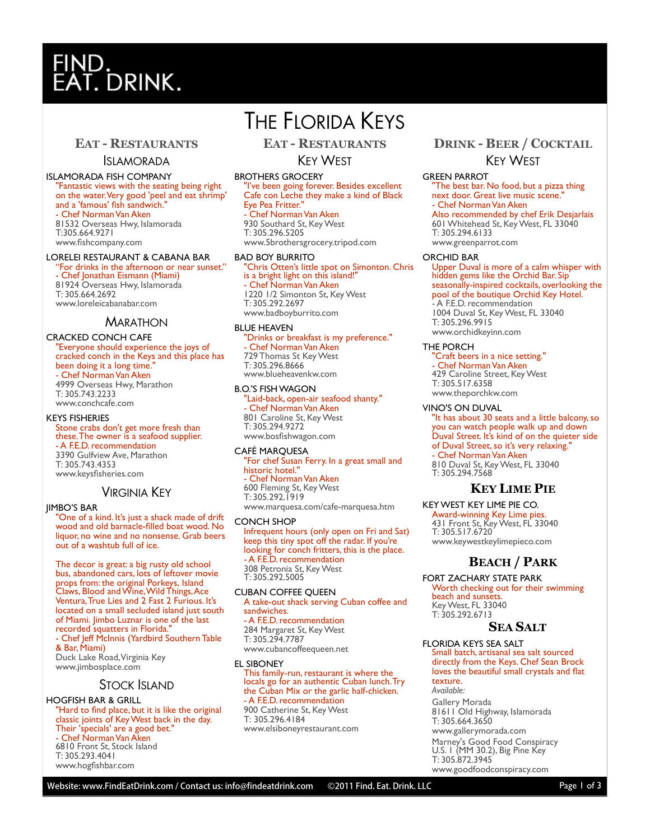# T. DRINK.

# **EAT - RESTAURANTS**

#### ISLAMORADA

ISLAMORADA FISH COMPANY "Fantastic views with the seating being right on the water. Very good 'peel and eat shrimp' and a 'famous' fish sandwich." - Chef Norman Van Aken 81532 Overseas Hwy, Islamorada T:305.664.9271 www.fishcompany.com

### LORELEI RESTAURANT & CABANA BAR

"For drinks in the afternoon or near sunset." - Chef Jonathan Eismann (Miami) 81924 Overseas Hwy, Islamorada T: 305.664.2692 www.loreleicabanabar.com

## **MARATHON**

CRACKED CONCH CAFE "Everyone should experience the joys of cracked conch in the Keys and this place has been doing it a long time." - Chef Norman Van Aken 4999 Overseas Hwy, Marathon T: 305.743.2233 www.conchcafe.com

#### KEYS FISHERIES

Stone crabs don't get more fresh than these. The owner is a seafood supplier. - A F.E.D. recommendation 3390 Gulfview Ave, Marathon T: 305.743.4353 www.keysfisheries.com

### VIRGINIA KEY

#### JIMBO'S BAR

"One of a kind. It's just a shack made of drift wood and old barnacle-filled boat wood. No liquor, no wine and no nonsense. Grab beers out of a washtub full of ice.

The decor is great: a big rusty old school bus, abandoned cars, lots of leftover movie props from: the original Porkeys, Island Claws, Blood and Wine, Wild Things, Ace Ventura, True Lies and 2 Fast 2 Furious. It's located on a small secluded island just south of Miami. Jimbo Luznar is one of the last recorded squatters in Florida."

- Chef Jeff McInnis (Yardbird Southern Table & Bar, Miami)

Duck Lake Road, Virginia Key www.jimbosplace.com

## STOCK ISLAND

#### HOGFISH BAR & GRILL

'Hard to find place, but it is like the original classic joints of Key West back in the day. Their 'specials' are a good bet." - Chef Norman Van Aken 6810 Front St, Stock Island T: 305.293.4041

www.hogfishbar.com

# THE FLORIDA KEYS

**EAT - RESTAURANTS**

# KEY WEST

#### BROTHERS GROCERY

"I've been going forever. Besides excellent Cafe con Leche they make a kind of Black Eye Pea Fritter." - Chef Norman Van Aken

930 Southard St, Key West T: 305.296.5205 www.5brothersgrocery.tripod.com

#### BAD BOY BURRITO

"Chris Otten's little spot on Simonton. Chris is a bright light on this island!" - Chef Norman Van Aken 1220 1/2 Simonton St, Key West T: 305.292.2697 www.badboyburrito.com

#### BLUE HEAVEN

"Drinks or breakfast is my preference." - Chef Norman Van Aken 729 Thomas St Key West T: 305.296.8666 www.blueheavenkw.com

#### B.O.'S FISH WAGON

"Laid-back, open-air seafood shanty." - Chef Norman Van Aken 801 Caroline St, Key West T: 305.294.9272 www.bosfishwagon.com

#### CAFÉ MARQUESA

"For chef Susan Ferry. In a great small and historic hotel." - Chef Norman Van Aken 600 Fleming St, Key West T: 305.292.1919 www.marquesa.com/cafe-marquesa.htm

#### CONCH SHOP

Infrequent hours (only open on Fri and Sat) keep this tiny spot off the radar. If you're looking for conch fritters, this is the place. - A F.E.D. recommendation 308 Petronia St, Key West T: 305.292.5005

#### CUBAN COFFEE QUEEN

A take-out shack serving Cuban coffee and sandwiches. - A F.E.D. recommendation 284 Margaret St, Key West T: 305.294.7787 www.cubancoffeequeen.net

#### EL SIBONEY

This family-run, restaurant is where the locals go for an authentic Cuban lunch. Try the Cuban Mix or the garlic half-chicken. - A F.E.D. recommendation 900 Catherine St, Key West T: 305.296.4184 www.elsiboneyrestaurant.com

# **DRINK - BEER / COCKTAIL** KEY WEST

#### GREEN PARROT

"The best bar. No food, but a pizza thing next door. Great live music scene." - Chef Norman Van Aken Also recommended by chef Erik Desjarlais 601 Whitehead St, Key West, FL 33040 T: 305.294.6133 www.greenparrot.com

#### ORCHID BAR

Upper Duval is more of a calm whisper with hidden gems like the Orchid Bar. Sip seasonally-inspired cocktails, overlooking the pool of the boutique Orchid Key Hotel. - A F.E.D. recommendation 1004 Duval St, Key West, FL 33040 T: 305.296.9915 www.orchidkeyinn.com

#### THE PORCH

"Craft beers in a nice setting." - Chef Norman Van Aken 429 Caroline Street, Key West T: 305.517.6358 www.theporchkw.com

#### VINO'S ON DUVAL

"It has about 30 seats and a little balcony, so you can watch people walk up and down Duval Street. It's kind of on the quieter side of Duval Street, so it's very relaxing." - Chef Norman Van Aken 810 Duval St, Key West, FL 33040 T: 305.294.7568

## **KEY LIME PIE**

KEY WEST KEY LIME PIE CO. Award-winning Key Lime pies. 431 Front St, Key West, FL 33040 T: 305.517.6720 www.keywestkeylimepieco.com

# **BEACH / PARK**

FORT ZACHARY STATE PARK Worth checking out for their swimming beach and sunsets.

Key West, FL 33040 T: 305.292.6713

# **SEA SALT**

FLORIDA KEYS SEA SALT Small batch, artisanal sea salt sourced directly from the Keys. Chef Sean Brock loves the beautiful small crystals and flat texture.

*Available:* Gallery Morada 81611 Old Highway, Islamorada T: 305.664.3650 www.gallerymorada.com Marney's Good Food Conspiracy U.S. 1 (MM 30.2), Big Pine Key T: 305.872.3945 www.goodfoodconspiracy.com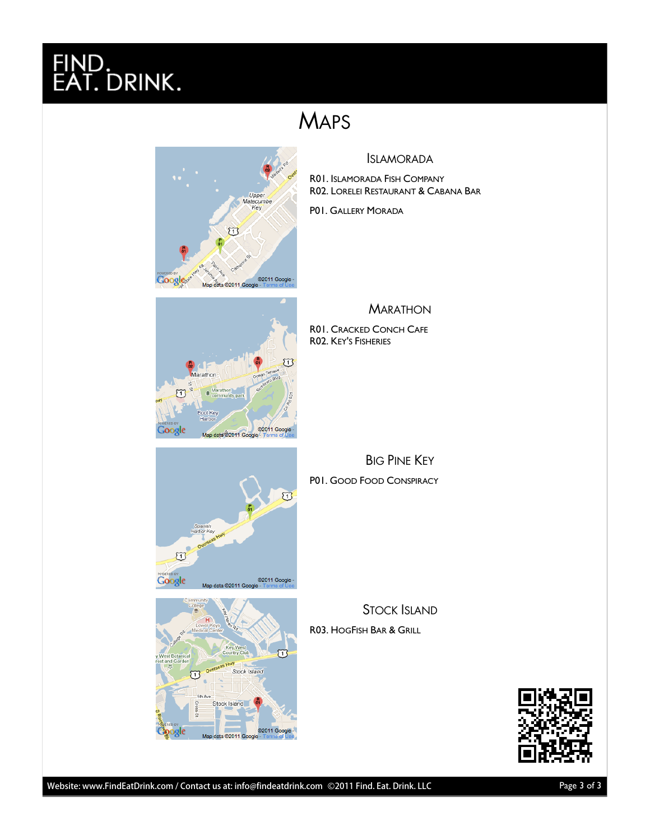# FINI ID.<br>T. DRINK<mark>.</mark>

# **MAPS**



# ISLAMORADA

R01. ISLAMORADA FISH COMPANY R02. LORELEI RESTAURANT & CABANA BAR

P01. GALLERY MORADA



R01. CRACKED CONCH CAFE R02. KEY'S FISHERIES

BIG PINE KEY P01. GOOD FOOD CONSPIRACY

STOCK ISLAND R03. HOGFISH BAR & GRILL



©2011 G

©2011 Go